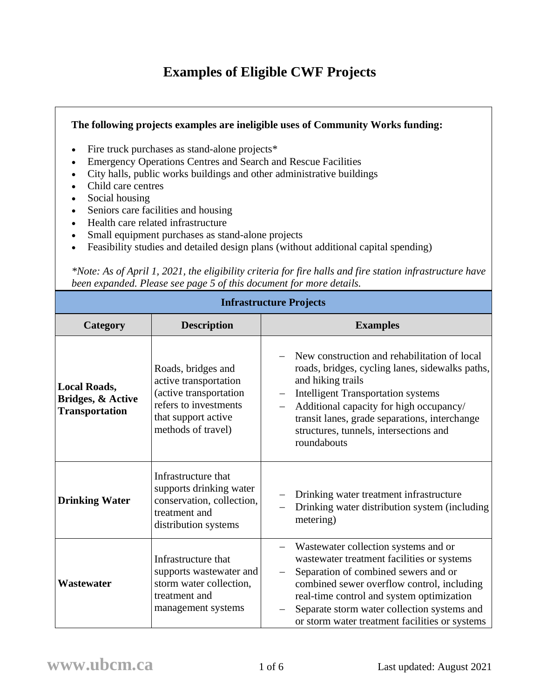## **Examples of Eligible CWF Projects**

## **The following projects examples are ineligible uses of Community Works funding:**

- Fire truck purchases as stand-alone projects\*
- Emergency Operations Centres and Search and Rescue Facilities
- City halls, public works buildings and other administrative buildings
- Child care centres
- Social housing
- Seniors care facilities and housing
- Health care related infrastructure
- Small equipment purchases as stand-alone projects
- Feasibility studies and detailed design plans (without additional capital spending)

*\*Note: As of April 1, 2021, the eligibility criteria for fire halls and fire station infrastructure have been expanded. Please see page 5 of this document for more details.*

| <b>Infrastructure Projects</b>                                    |                                                                                                                                             |                                                                                                                                                                                                                                                                                                                        |  |
|-------------------------------------------------------------------|---------------------------------------------------------------------------------------------------------------------------------------------|------------------------------------------------------------------------------------------------------------------------------------------------------------------------------------------------------------------------------------------------------------------------------------------------------------------------|--|
| Category                                                          | <b>Description</b>                                                                                                                          | <b>Examples</b>                                                                                                                                                                                                                                                                                                        |  |
| <b>Local Roads,</b><br>Bridges, & Active<br><b>Transportation</b> | Roads, bridges and<br>active transportation<br>(active transportation<br>refers to investments<br>that support active<br>methods of travel) | New construction and rehabilitation of local<br>roads, bridges, cycling lanes, sidewalks paths,<br>and hiking trails<br><b>Intelligent Transportation systems</b><br>Additional capacity for high occupancy/<br>transit lanes, grade separations, interchange<br>structures, tunnels, intersections and<br>roundabouts |  |
| <b>Drinking Water</b>                                             | Infrastructure that<br>supports drinking water<br>conservation, collection,<br>treatment and<br>distribution systems                        | Drinking water treatment infrastructure<br>Drinking water distribution system (including<br>metering)                                                                                                                                                                                                                  |  |
| Wastewater                                                        | Infrastructure that<br>supports wastewater and<br>storm water collection,<br>treatment and<br>management systems                            | Wastewater collection systems and or<br>wastewater treatment facilities or systems<br>Separation of combined sewers and or<br>combined sewer overflow control, including<br>real-time control and system optimization<br>Separate storm water collection systems and<br>or storm water treatment facilities or systems |  |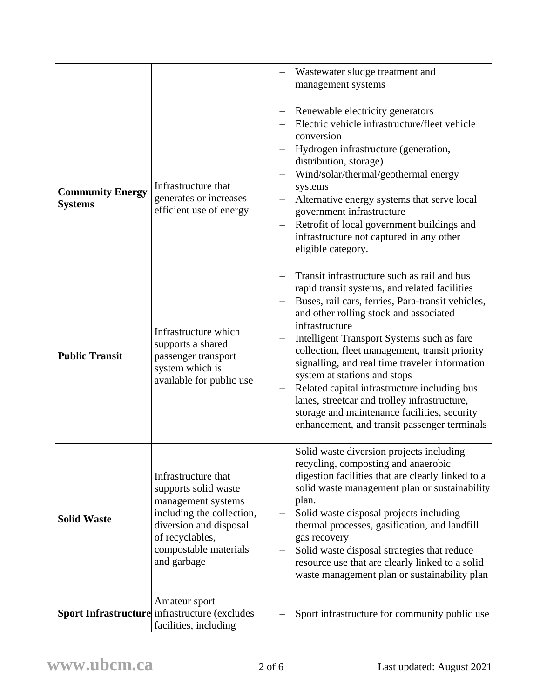|                                           |                                                                                                                                                                                     | Wastewater sludge treatment and<br>management systems                                                                                                                                                                                                                                                                                                                                                                                                                                                                                                                                           |
|-------------------------------------------|-------------------------------------------------------------------------------------------------------------------------------------------------------------------------------------|-------------------------------------------------------------------------------------------------------------------------------------------------------------------------------------------------------------------------------------------------------------------------------------------------------------------------------------------------------------------------------------------------------------------------------------------------------------------------------------------------------------------------------------------------------------------------------------------------|
| <b>Community Energy</b><br><b>Systems</b> | Infrastructure that<br>generates or increases<br>efficient use of energy                                                                                                            | Renewable electricity generators<br>Electric vehicle infrastructure/fleet vehicle<br>conversion<br>Hydrogen infrastructure (generation,<br>distribution, storage)<br>Wind/solar/thermal/geothermal energy<br>systems<br>Alternative energy systems that serve local<br>government infrastructure<br>Retrofit of local government buildings and<br>infrastructure not captured in any other<br>eligible category.                                                                                                                                                                                |
| <b>Public Transit</b>                     | Infrastructure which<br>supports a shared<br>passenger transport<br>system which is<br>available for public use                                                                     | Transit infrastructure such as rail and bus<br>rapid transit systems, and related facilities<br>Buses, rail cars, ferries, Para-transit vehicles,<br>and other rolling stock and associated<br>infrastructure<br>Intelligent Transport Systems such as fare<br>collection, fleet management, transit priority<br>signalling, and real time traveler information<br>system at stations and stops<br>Related capital infrastructure including bus<br>lanes, streetcar and trolley infrastructure,<br>storage and maintenance facilities, security<br>enhancement, and transit passenger terminals |
| <b>Solid Waste</b>                        | Infrastructure that<br>supports solid waste<br>management systems<br>including the collection,<br>diversion and disposal<br>of recyclables,<br>compostable materials<br>and garbage | Solid waste diversion projects including<br>—<br>recycling, composting and anaerobic<br>digestion facilities that are clearly linked to a<br>solid waste management plan or sustainability<br>plan.<br>Solid waste disposal projects including<br>thermal processes, gasification, and landfill<br>gas recovery<br>Solid waste disposal strategies that reduce<br>resource use that are clearly linked to a solid<br>waste management plan or sustainability plan                                                                                                                               |
|                                           | Amateur sport<br><b>Sport Infrastructure</b> infrastructure (excludes<br>facilities, including                                                                                      | Sport infrastructure for community public use                                                                                                                                                                                                                                                                                                                                                                                                                                                                                                                                                   |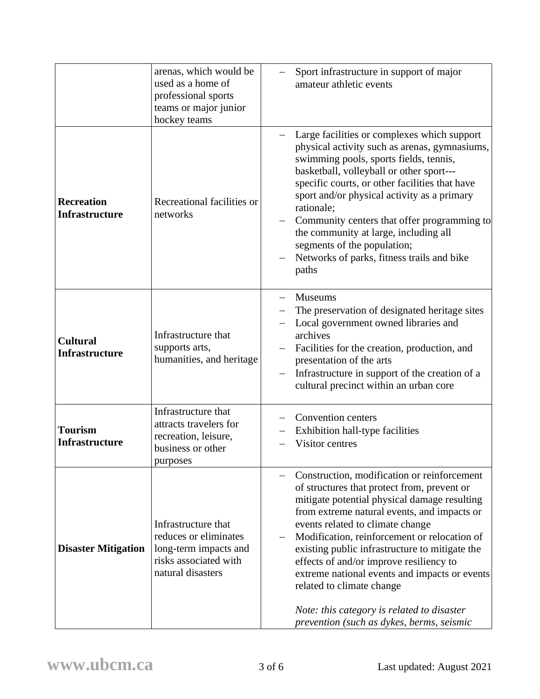|                                            | arenas, which would be<br>used as a home of<br>professional sports<br>teams or major junior<br>hockey teams         | Sport infrastructure in support of major<br>amateur athletic events                                                                                                                                                                                                                                                                                                                                                                                                                                                                                 |
|--------------------------------------------|---------------------------------------------------------------------------------------------------------------------|-----------------------------------------------------------------------------------------------------------------------------------------------------------------------------------------------------------------------------------------------------------------------------------------------------------------------------------------------------------------------------------------------------------------------------------------------------------------------------------------------------------------------------------------------------|
| <b>Recreation</b><br><b>Infrastructure</b> | Recreational facilities or<br>networks                                                                              | Large facilities or complexes which support<br>physical activity such as arenas, gymnasiums,<br>swimming pools, sports fields, tennis,<br>basketball, volleyball or other sport---<br>specific courts, or other facilities that have<br>sport and/or physical activity as a primary<br>rationale;<br>Community centers that offer programming to<br>the community at large, including all<br>segments of the population;<br>Networks of parks, fitness trails and bike<br>paths                                                                     |
| <b>Cultural</b><br><b>Infrastructure</b>   | Infrastructure that<br>supports arts,<br>humanities, and heritage                                                   | <b>Museums</b><br>$\qquad \qquad -$<br>The preservation of designated heritage sites<br>Local government owned libraries and<br>archives<br>Facilities for the creation, production, and<br>presentation of the arts<br>Infrastructure in support of the creation of a<br>cultural precinct within an urban core                                                                                                                                                                                                                                    |
| <b>Tourism</b><br><b>Infrastructure</b>    | Infrastructure that<br>attracts travelers for<br>recreation, leisure,<br>business or other<br>purposes              | Convention centers<br>Exhibition hall-type facilities<br>Visitor centres                                                                                                                                                                                                                                                                                                                                                                                                                                                                            |
| <b>Disaster Mitigation</b>                 | Infrastructure that<br>reduces or eliminates<br>long-term impacts and<br>risks associated with<br>natural disasters | Construction, modification or reinforcement<br>of structures that protect from, prevent or<br>mitigate potential physical damage resulting<br>from extreme natural events, and impacts or<br>events related to climate change<br>Modification, reinforcement or relocation of<br>existing public infrastructure to mitigate the<br>effects of and/or improve resiliency to<br>extreme national events and impacts or events<br>related to climate change<br>Note: this category is related to disaster<br>prevention (such as dykes, berms, seismic |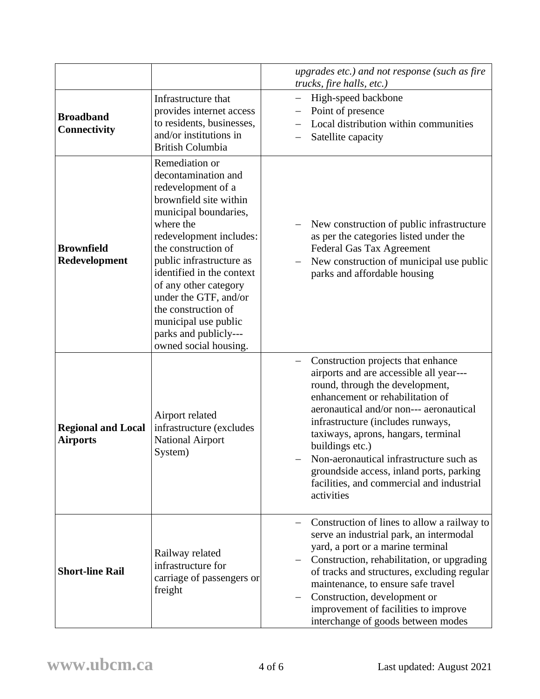|                                              |                                                                                                                                                                                                                                                                                                                                                                                           | upgrades etc.) and not response (such as fire<br>trucks, fire halls, etc.)                                                                                                                                                                                                                                                                                                                                                                       |
|----------------------------------------------|-------------------------------------------------------------------------------------------------------------------------------------------------------------------------------------------------------------------------------------------------------------------------------------------------------------------------------------------------------------------------------------------|--------------------------------------------------------------------------------------------------------------------------------------------------------------------------------------------------------------------------------------------------------------------------------------------------------------------------------------------------------------------------------------------------------------------------------------------------|
| <b>Broadband</b><br><b>Connectivity</b>      | Infrastructure that<br>provides internet access<br>to residents, businesses,<br>and/or institutions in<br><b>British Columbia</b>                                                                                                                                                                                                                                                         | High-speed backbone<br>Point of presence<br>Local distribution within communities<br>Satellite capacity                                                                                                                                                                                                                                                                                                                                          |
| <b>Brownfield</b><br>Redevelopment           | Remediation or<br>decontamination and<br>redevelopment of a<br>brownfield site within<br>municipal boundaries,<br>where the<br>redevelopment includes:<br>the construction of<br>public infrastructure as<br>identified in the context<br>of any other category<br>under the GTF, and/or<br>the construction of<br>municipal use public<br>parks and publicly---<br>owned social housing. | New construction of public infrastructure<br>as per the categories listed under the<br>Federal Gas Tax Agreement<br>New construction of municipal use public<br>parks and affordable housing                                                                                                                                                                                                                                                     |
| <b>Regional and Local</b><br><b>Airports</b> | Airport related<br>infrastructure (excludes<br><b>National Airport</b><br>System)                                                                                                                                                                                                                                                                                                         | Construction projects that enhance<br>airports and are accessible all year---<br>round, through the development,<br>enhancement or rehabilitation of<br>aeronautical and/or non--- aeronautical<br>infrastructure (includes runways,<br>taxiways, aprons, hangars, terminal<br>buildings etc.)<br>Non-aeronautical infrastructure such as<br>groundside access, inland ports, parking<br>facilities, and commercial and industrial<br>activities |
| <b>Short-line Rail</b>                       | Railway related<br>infrastructure for<br>carriage of passengers or<br>freight                                                                                                                                                                                                                                                                                                             | Construction of lines to allow a railway to<br>serve an industrial park, an intermodal<br>yard, a port or a marine terminal<br>Construction, rehabilitation, or upgrading<br>of tracks and structures, excluding regular<br>maintenance, to ensure safe travel<br>Construction, development or<br>improvement of facilities to improve<br>interchange of goods between modes                                                                     |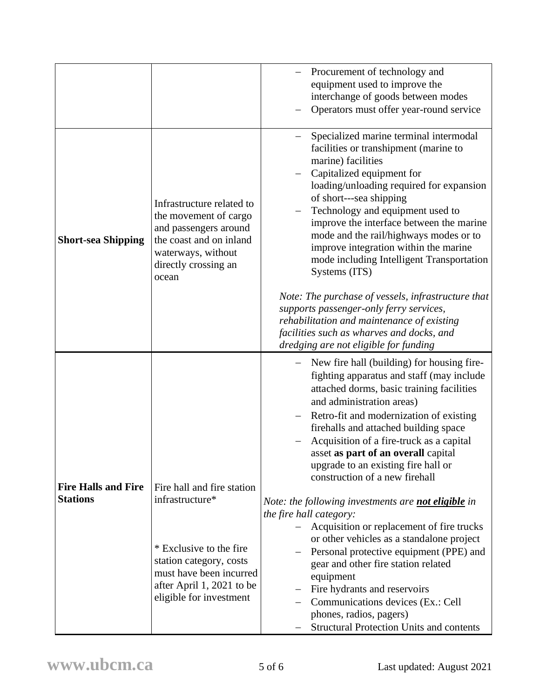|                            |                                                                                                                                                               | Procurement of technology and<br>equipment used to improve the<br>interchange of goods between modes<br>Operators must offer year-round service                                                                                                                                                                                                                                                                                                                                                  |
|----------------------------|---------------------------------------------------------------------------------------------------------------------------------------------------------------|--------------------------------------------------------------------------------------------------------------------------------------------------------------------------------------------------------------------------------------------------------------------------------------------------------------------------------------------------------------------------------------------------------------------------------------------------------------------------------------------------|
| <b>Short-sea Shipping</b>  | Infrastructure related to<br>the movement of cargo<br>and passengers around<br>the coast and on inland<br>waterways, without<br>directly crossing an<br>ocean | Specialized marine terminal intermodal<br>facilities or transhipment (marine to<br>marine) facilities<br>Capitalized equipment for<br>loading/unloading required for expansion<br>of short---sea shipping<br>Technology and equipment used to<br>improve the interface between the marine<br>mode and the rail/highways modes or to<br>improve integration within the marine<br>mode including Intelligent Transportation<br>Systems (ITS)<br>Note: The purchase of vessels, infrastructure that |
|                            |                                                                                                                                                               | supports passenger-only ferry services,<br>rehabilitation and maintenance of existing<br>facilities such as wharves and docks, and<br>dredging are not eligible for funding                                                                                                                                                                                                                                                                                                                      |
|                            |                                                                                                                                                               | New fire hall (building) for housing fire-<br>fighting apparatus and staff (may include<br>attached dorms, basic training facilities<br>and administration areas)<br>Retro-fit and modernization of existing<br>firehalls and attached building space                                                                                                                                                                                                                                            |
| <b>Fire Halls and Fire</b> | Fire hall and fire station                                                                                                                                    | Acquisition of a fire-truck as a capital<br>asset as part of an overall capital<br>upgrade to an existing fire hall or<br>construction of a new firehall                                                                                                                                                                                                                                                                                                                                         |
| <b>Stations</b>            | infrastructure*                                                                                                                                               | Note: the following investments are <b>not eligible</b> in<br>the fire hall category:                                                                                                                                                                                                                                                                                                                                                                                                            |
|                            | * Exclusive to the fire<br>station category, costs<br>must have been incurred<br>after April 1, 2021 to be<br>eligible for investment                         | Acquisition or replacement of fire trucks<br>or other vehicles as a standalone project<br>Personal protective equipment (PPE) and<br>gear and other fire station related<br>equipment<br>Fire hydrants and reservoirs<br>Communications devices (Ex.: Cell<br>phones, radios, pagers)<br><b>Structural Protection Units and contents</b>                                                                                                                                                         |